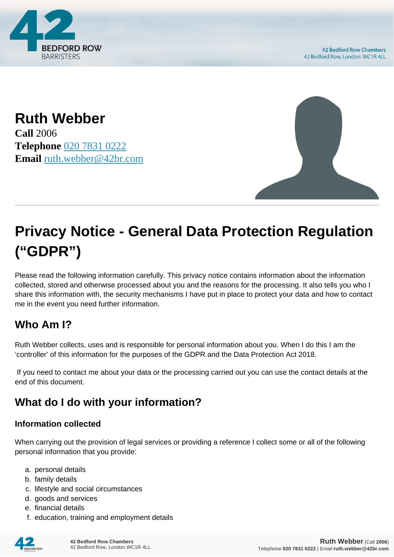

**Ruth Webber Call** 2006 **Telephone** [020 7831 0222](https://pdf.codeshore.co/_42br/tel:020 7831 0222) **Email** [ruth.webber@42br.com](mailto:ruth.webber@42br.com)



# **Privacy Notice - General Data Protection Regulation ("GDPR")**

Please read the following information carefully. This privacy notice contains information about the information collected, stored and otherwise processed about you and the reasons for the processing. It also tells you who I share this information with, the security mechanisms I have put in place to protect your data and how to contact me in the event you need further information.

# **Who Am I?**

Ruth Webber collects, uses and is responsible for personal information about you. When I do this I am the 'controller' of this information for the purposes of the GDPR and the Data Protection Act 2018.

 If you need to contact me about your data or the processing carried out you can use the contact details at the end of this document.

# **What do I do with your information?**

#### **Information collected**

When carrying out the provision of legal services or providing a reference I collect some or all of the following personal information that you provide:

- a. personal details
- b. family details
- c. lifestyle and social circumstances
- d. goods and services
- e. financial details
- f. education, training and employment details

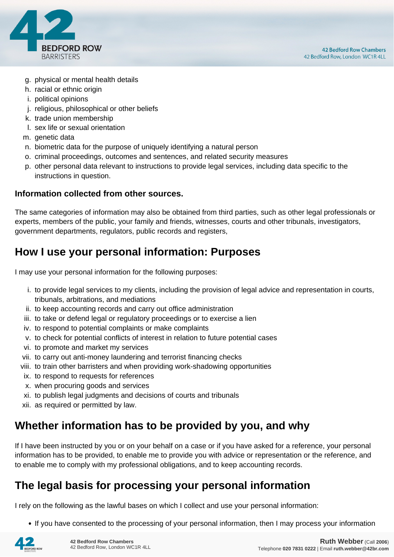

- g. physical or mental health details
- h. racial or ethnic origin
- i. political opinions
- j. religious, philosophical or other beliefs
- k. trade union membership
- l. sex life or sexual orientation
- m. genetic data
- n. biometric data for the purpose of uniquely identifying a natural person
- o. criminal proceedings, outcomes and sentences, and related security measures
- p. other personal data relevant to instructions to provide legal services, including data specific to the instructions in question.

#### **Information collected from other sources.**

The same categories of information may also be obtained from third parties, such as other legal professionals or experts, members of the public, your family and friends, witnesses, courts and other tribunals, investigators, government departments, regulators, public records and registers,

## **How I use your personal information: Purposes**

I may use your personal information for the following purposes:

- i. to provide legal services to my clients, including the provision of legal advice and representation in courts, tribunals, arbitrations, and mediations
- ii. to keep accounting records and carry out office administration
- iii. to take or defend legal or regulatory proceedings or to exercise a lien
- iv. to respond to potential complaints or make complaints
- v. to check for potential conflicts of interest in relation to future potential cases
- vi. to promote and market my services
- vii. to carry out anti-money laundering and terrorist financing checks
- viii. to train other barristers and when providing work-shadowing opportunities
- ix. to respond to requests for references
- x. when procuring goods and services
- xi. to publish legal judgments and decisions of courts and tribunals
- xii. as required or permitted by law.

## **Whether information has to be provided by you, and why**

If I have been instructed by you or on your behalf on a case or if you have asked for a reference, your personal information has to be provided, to enable me to provide you with advice or representation or the reference, and to enable me to comply with my professional obligations, and to keep accounting records.

## **The legal basis for processing your personal information**

I rely on the following as the lawful bases on which I collect and use your personal information:

• If you have consented to the processing of your personal information, then I may process your information

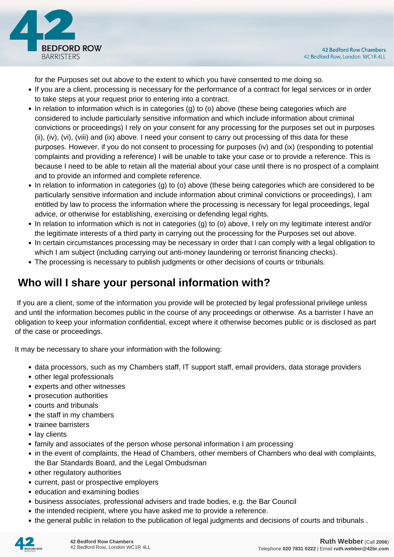

for the Purposes set out above to the extent to which you have consented to me doing so.

- If you are a client, processing is necessary for the performance of a contract for legal services or in order to take steps at your request prior to entering into a contract.
- In relation to information which is in categories (g) to (o) above (these being categories which are considered to include particularly sensitive information and which include information about criminal convictions or proceedings) I rely on your consent for any processing for the purposes set out in purposes (ii), (iv), (vi), (viii) and (ix) above. I need your consent to carry out processing of this data for these purposes. However, if you do not consent to processing for purposes (iv) and (ix) (responding to potential complaints and providing a reference) I will be unable to take your case or to provide a reference. This is because I need to be able to retain all the material about your case until there is no prospect of a complaint and to provide an informed and complete reference.
- In relation to information in categories (g) to (o) above (these being categories which are considered to be particularly sensitive information and include information about criminal convictions or proceedings), I am entitled by law to process the information where the processing is necessary for legal proceedings, legal advice, or otherwise for establishing, exercising or defending legal rights.
- In relation to information which is not in categories (g) to (o) above, I rely on my legitimate interest and/or the legitimate interests of a third party in carrying out the processing for the Purposes set out above.
- In certain circumstances processing may be necessary in order that I can comply with a legal obligation to which I am subject (including carrying out anti-money laundering or terrorist financing checks).
- The processing is necessary to publish judgments or other decisions of courts or tribunals.

# **Who will I share your personal information with?**

 If you are a client, some of the information you provide will be protected by legal professional privilege unless and until the information becomes public in the course of any proceedings or otherwise. As a barrister I have an obligation to keep your information confidential, except where it otherwise becomes public or is disclosed as part of the case or proceedings.

It may be necessary to share your information with the following:

- data processors, such as my Chambers staff, IT support staff, email providers, data storage providers
- other legal professionals
- experts and other witnesses
- prosecution authorities
- courts and tribunals
- the staff in my chambers
- trainee barristers
- lay clients
- family and associates of the person whose personal information I am processing
- in the event of complaints, the Head of Chambers, other members of Chambers who deal with complaints, the Bar Standards Board, and the Legal Ombudsman
- other regulatory authorities
- current, past or prospective employers
- education and examining bodies
- business associates, professional advisers and trade bodies, e.g. the Bar Council
- the intended recipient, where you have asked me to provide a reference.
- the general public in relation to the publication of legal judgments and decisions of courts and tribunals .

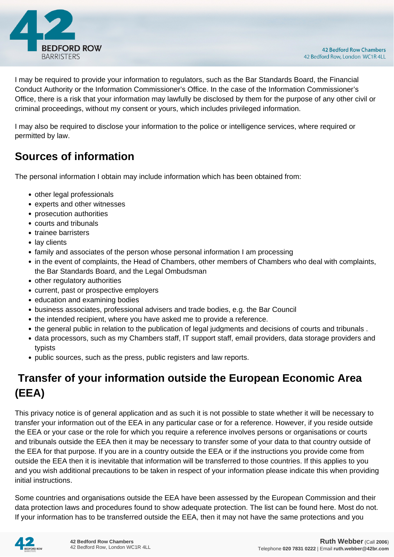

I may be required to provide your information to regulators, such as the Bar Standards Board, the Financial Conduct Authority or the Information Commissioner's Office. In the case of the Information Commissioner's Office, there is a risk that your information may lawfully be disclosed by them for the purpose of any other civil or criminal proceedings, without my consent or yours, which includes privileged information.

I may also be required to disclose your information to the police or intelligence services, where required or permitted by law.

# **Sources of information**

The personal information I obtain may include information which has been obtained from:

- other legal professionals
- experts and other witnesses
- prosecution authorities
- courts and tribunals
- trainee barristers
- lay clients
- family and associates of the person whose personal information I am processing
- in the event of complaints, the Head of Chambers, other members of Chambers who deal with complaints, the Bar Standards Board, and the Legal Ombudsman
- other regulatory authorities
- current, past or prospective employers
- education and examining bodies
- business associates, professional advisers and trade bodies, e.g. the Bar Council
- the intended recipient, where you have asked me to provide a reference.
- the general public in relation to the publication of legal judgments and decisions of courts and tribunals .
- data processors, such as my Chambers staff, IT support staff, email providers, data storage providers and typists
- public sources, such as the press, public registers and law reports.

# **Transfer of your information outside the European Economic Area (EEA)**

This privacy notice is of general application and as such it is not possible to state whether it will be necessary to transfer your information out of the EEA in any particular case or for a reference. However, if you reside outside the EEA or your case or the role for which you require a reference involves persons or organisations or courts and tribunals outside the EEA then it may be necessary to transfer some of your data to that country outside of the EEA for that purpose. If you are in a country outside the EEA or if the instructions you provide come from outside the EEA then it is inevitable that information will be transferred to those countries. If this applies to you and you wish additional precautions to be taken in respect of your information please indicate this when providing initial instructions.

Some countries and organisations outside the EEA have been assessed by the European Commission and their data protection laws and procedures found to show adequate protection. The list can be found here. Most do not. If your information has to be transferred outside the EEA, then it may not have the same protections and you

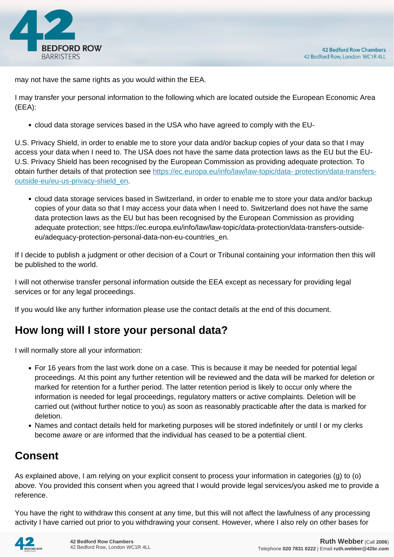

may not have the same rights as you would within the EEA.

I may transfer your personal information to the following which are located outside the European Economic Area (EEA):

cloud data storage services based in the USA who have agreed to comply with the EU-

U.S. Privacy Shield, in order to enable me to store your data and/or backup copies of your data so that I may access your data when I need to. The USA does not have the same data protection laws as the EU but the EU-U.S. Privacy Shield has been recognised by the European Commission as providing adequate protection. To obtain further details of that protection see [https://ec.europa.eu/info/law/law-topic/data- protection/data-transfers](https://ec.europa.eu/info/law/law-topic/data- protection/data-transfers-outside-eu/eu-us-privacy-shield_en)[outside-eu/eu-us-privacy-shield\\_en.](https://ec.europa.eu/info/law/law-topic/data- protection/data-transfers-outside-eu/eu-us-privacy-shield_en)

cloud data storage services based in Switzerland, in order to enable me to store your data and/or backup copies of your data so that I may access your data when I need to. Switzerland does not have the same data protection laws as the EU but has been recognised by the European Commission as providing adequate protection; see https://ec.europa.eu/info/law/law-topic/data-protection/data-transfers-outsideeu/adequacy-protection-personal-data-non-eu-countries\_en.

If I decide to publish a judgment or other decision of a Court or Tribunal containing your information then this will be published to the world.

I will not otherwise transfer personal information outside the EEA except as necessary for providing legal services or for any legal proceedings.

If you would like any further information please use the contact details at the end of this document.

## **How long will I store your personal data?**

I will normally store all your information:

- For 16 years from the last work done on a case. This is because it may be needed for potential legal proceedings. At this point any further retention will be reviewed and the data will be marked for deletion or marked for retention for a further period. The latter retention period is likely to occur only where the information is needed for legal proceedings, regulatory matters or active complaints. Deletion will be carried out (without further notice to you) as soon as reasonably practicable after the data is marked for deletion.
- Names and contact details held for marketing purposes will be stored indefinitely or until I or my clerks become aware or are informed that the individual has ceased to be a potential client.

# **Consent**

As explained above, I am relying on your explicit consent to process your information in categories (g) to (o) above. You provided this consent when you agreed that I would provide legal services/you asked me to provide a reference.

You have the right to withdraw this consent at any time, but this will not affect the lawfulness of any processing activity I have carried out prior to you withdrawing your consent. However, where I also rely on other bases for

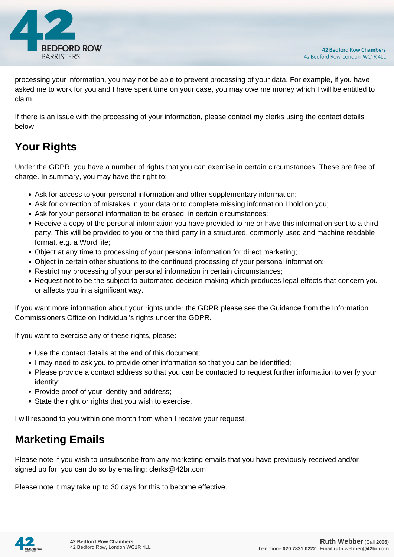

processing your information, you may not be able to prevent processing of your data. For example, if you have asked me to work for you and I have spent time on your case, you may owe me money which I will be entitled to claim.

If there is an issue with the processing of your information, please contact my clerks using the contact details below.

# **Your Rights**

Under the GDPR, you have a number of rights that you can exercise in certain circumstances. These are free of charge. In summary, you may have the right to:

- Ask for access to your personal information and other supplementary information;
- Ask for correction of mistakes in your data or to complete missing information I hold on you;
- Ask for your personal information to be erased, in certain circumstances;
- Receive a copy of the personal information you have provided to me or have this information sent to a third party. This will be provided to you or the third party in a structured, commonly used and machine readable format, e.g. a Word file;
- Object at any time to processing of your personal information for direct marketing;
- Object in certain other situations to the continued processing of your personal information;
- Restrict my processing of your personal information in certain circumstances;
- Request not to be the subject to automated decision-making which produces legal effects that concern you or affects you in a significant way.

If you want more information about your rights under the GDPR please see the Guidance from the Information Commissioners Office on Individual's rights under the GDPR.

If you want to exercise any of these rights, please:

- Use the contact details at the end of this document;
- I may need to ask you to provide other information so that you can be identified;
- Please provide a contact address so that you can be contacted to request further information to verify your identity;
- Provide proof of your identity and address;
- State the right or rights that you wish to exercise.

I will respond to you within one month from when I receive your request.

## **Marketing Emails**

Please note if you wish to unsubscribe from any marketing emails that you have previously received and/or signed up for, you can do so by emailing: clerks@42br.com

Please note it may take up to 30 days for this to become effective.